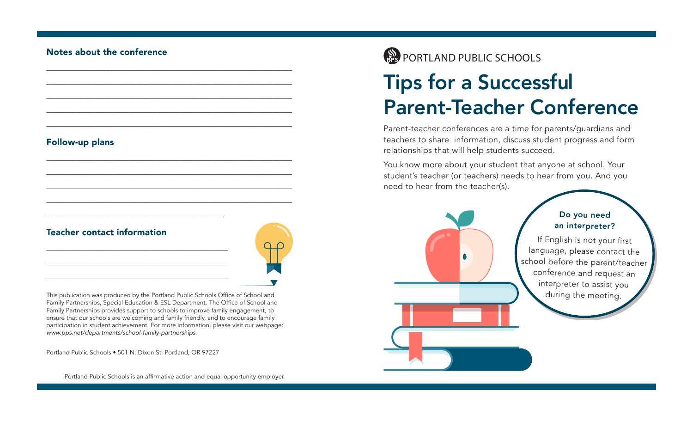#### Follow-up plans

### Teacher contact information

This publication was produced by the Portland Public Schools Office of School and Family Partnerships, Special Education & ESL Department. The Office of School and Family Partnerships provides support to schools to improve family engagement, to ensure that our schools are welcoming and family friendly, and to encourage family participation in student achievement. For more information, please visit our webpage: *www.pps.net/departments/school-family-partnerships*.

\_\_\_\_\_\_\_\_\_\_\_\_\_\_\_\_\_\_\_\_\_\_\_\_\_\_\_\_\_\_\_\_\_\_\_\_\_\_\_\_\_\_\_\_\_\_\_\_\_\_\_\_\_\_\_\_\_\_\_\_\_\_\_\_\_

\_\_\_\_\_\_\_\_\_\_\_\_\_\_\_\_\_\_\_\_\_\_\_\_\_\_\_\_\_\_\_\_\_\_\_\_\_\_\_\_\_\_\_\_\_\_\_\_\_\_\_\_\_\_\_\_\_\_\_\_\_\_\_\_\_

\_\_\_\_\_\_\_\_\_\_\_\_\_\_\_\_\_\_\_\_\_\_\_\_\_\_\_\_\_\_\_\_\_\_\_\_\_\_\_\_\_\_\_\_\_\_\_\_\_\_\_\_\_\_\_\_\_\_\_\_\_\_\_\_\_

\_\_\_\_\_\_\_\_\_\_\_\_\_\_\_\_\_\_\_\_\_\_\_\_\_\_\_\_\_\_\_\_\_\_\_\_\_\_\_\_\_\_\_\_\_\_\_\_\_\_\_\_\_\_\_\_\_\_\_\_\_\_\_\_\_

\_\_\_\_\_\_\_\_\_\_\_\_\_\_\_\_\_\_\_\_\_\_\_\_\_\_\_\_\_\_\_\_\_\_\_\_\_\_\_\_\_\_\_\_\_\_\_\_\_\_\_\_\_\_\_\_\_\_\_\_\_\_\_\_\_

\_\_\_\_\_\_\_\_\_\_\_\_\_\_\_\_\_\_\_\_\_\_\_\_\_\_\_\_\_\_\_\_\_\_\_\_\_\_\_\_\_\_\_\_\_\_\_\_\_\_\_\_\_\_\_\_\_\_\_\_\_\_\_\_\_

\_\_\_\_\_\_\_\_\_\_\_\_\_\_\_\_\_\_\_\_\_\_\_\_\_\_\_\_\_\_\_\_\_\_\_\_\_\_\_\_\_\_\_\_\_\_\_\_\_\_\_\_\_\_\_\_\_\_\_\_\_\_\_\_\_

\_\_\_\_\_\_\_\_\_\_\_\_\_\_\_\_\_\_\_\_\_\_\_\_\_\_\_\_\_\_\_\_\_\_\_\_\_\_\_\_\_\_\_\_\_\_\_\_\_\_\_\_\_\_\_\_\_\_\_\_\_\_\_\_\_

\_\_\_\_\_\_\_\_\_\_\_\_\_\_\_\_\_\_\_\_\_\_\_\_\_\_\_\_\_\_\_\_\_\_\_\_\_\_\_\_\_\_\_\_\_\_\_\_\_\_\_\_\_\_\_\_\_\_\_\_\_\_\_\_\_

Portland Public Schools • 501 N. Dixon St. Portland, OR 97227

\_\_\_\_\_\_\_\_\_\_\_\_\_\_\_\_\_\_\_\_\_\_\_\_\_\_\_\_\_\_\_\_\_\_\_\_\_\_\_\_\_\_\_\_\_\_\_

\_\_\_\_\_\_\_\_\_\_\_\_\_\_\_\_\_\_\_\_\_\_\_\_\_\_\_\_\_\_\_\_\_\_\_\_\_\_\_\_\_\_\_\_\_\_\_\_

\_\_\_\_\_\_\_\_\_\_\_\_\_\_\_\_\_\_\_\_\_\_\_\_\_\_\_\_\_\_\_\_\_\_\_\_\_\_\_\_\_\_\_\_\_\_\_\_

\_\_\_\_\_\_\_\_\_\_\_\_\_\_\_\_\_\_\_\_\_\_\_\_\_\_\_\_\_\_\_\_\_\_\_\_\_\_\_\_\_\_\_\_\_\_\_\_

Portland Public Schools is an affirmative action and equal opportunity employer.



# Tips for a Successful Parent-Teacher Conference

Parent-teacher conferences are a time for parents/guardians and teachers to share information, discuss student progress and form relationships that will help students succeed.

You know more about your student that anyone at school. Your student's teacher (or teachers) needs to hear from you. And you need to hear from the teacher(s).